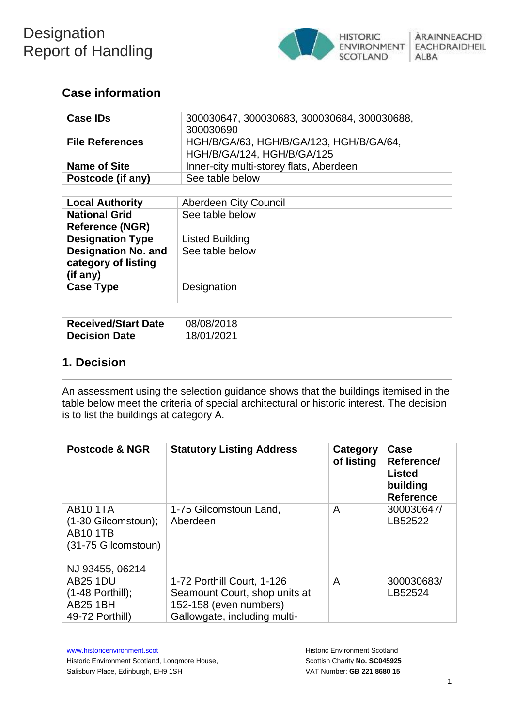

## **Case information**

| <b>Case IDs</b>        | 300030647, 300030683, 300030684, 300030688,<br>300030690              |
|------------------------|-----------------------------------------------------------------------|
| <b>File References</b> | HGH/B/GA/63, HGH/B/GA/123, HGH/B/GA/64,<br>HGH/B/GA/124, HGH/B/GA/125 |
| <b>Name of Site</b>    | Inner-city multi-storey flats, Aberdeen                               |
| Postcode (if any)      | See table below                                                       |

| <b>Local Authority</b>                                        | Aberdeen City Council  |
|---------------------------------------------------------------|------------------------|
| <b>National Grid</b><br><b>Reference (NGR)</b>                | See table below        |
| <b>Designation Type</b>                                       | <b>Listed Building</b> |
| <b>Designation No. and</b><br>category of listing<br>(if any) | See table below        |
| <b>Case Type</b>                                              | Designation            |

| <b>Received/Start Date</b> | 08/08/2018 |
|----------------------------|------------|
| <b>Decision Date</b>       | 18/01/2021 |

## **1. Decision**

An assessment using the selection guidance shows that the buildings itemised in the table below meet the criteria of special architectural or historic interest. The decision is to list the buildings at category A.

| <b>Postcode &amp; NGR</b>                                                                             | <b>Statutory Listing Address</b>                                                                                      | Category<br>of listing | Case<br>Reference/<br><b>Listed</b><br>building<br><b>Reference</b> |
|-------------------------------------------------------------------------------------------------------|-----------------------------------------------------------------------------------------------------------------------|------------------------|---------------------------------------------------------------------|
| <b>AB101TA</b><br>$(1-30)$ Gilcomstoun);<br><b>AB10 1TB</b><br>(31-75 Gilcomstoun)<br>NJ 93455, 06214 | 1-75 Gilcomstoun Land,<br>Aberdeen                                                                                    | A                      | 300030647/<br>LB52522                                               |
| <b>AB25 1DU</b><br>$(1-48$ Porthill);<br><b>AB25 1BH</b><br>49-72 Porthill)                           | 1-72 Porthill Court, 1-126<br>Seamount Court, shop units at<br>152-158 (even numbers)<br>Gallowgate, including multi- | A                      | 300030683/<br>LB52524                                               |

[www.historicenvironment.scot](http://www.historicenvironment.scot/) Historic Environment Scotland, Longmore House, Salisbury Place, Edinburgh, EH9 1SH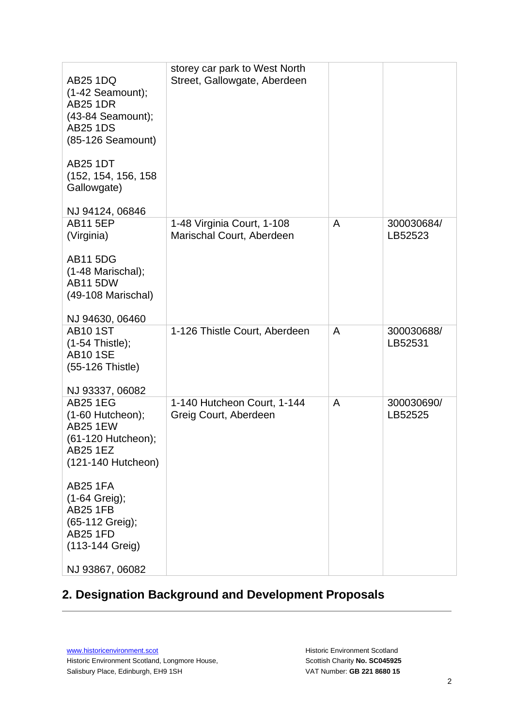| <b>AB25 1DQ</b><br>$(1-42$ Seamount);<br><b>AB25 1DR</b><br>$(43-84$ Seamount);<br><b>AB25 1DS</b><br>(85-126 Seamount)<br><b>AB25 1DT</b><br>(152, 154, 156, 158 | storey car park to West North<br>Street, Gallowgate, Aberdeen |   |                       |
|-------------------------------------------------------------------------------------------------------------------------------------------------------------------|---------------------------------------------------------------|---|-----------------------|
| Gallowgate)                                                                                                                                                       |                                                               |   |                       |
| NJ 94124, 06846                                                                                                                                                   |                                                               |   |                       |
| <b>AB11 5EP</b><br>(Virginia)                                                                                                                                     | 1-48 Virginia Court, 1-108<br>Marischal Court, Aberdeen       | A | 300030684/<br>LB52523 |
| <b>AB11 5DG</b><br>$(1-48$ Marischal);<br><b>AB11 5DW</b><br>(49-108 Marischal)                                                                                   |                                                               |   |                       |
| NJ 94630, 06460                                                                                                                                                   |                                                               |   |                       |
| <b>AB10 1ST</b><br>(1-54 Thistle);<br><b>AB101SE</b><br>(55-126 Thistle)                                                                                          | 1-126 Thistle Court, Aberdeen                                 | A | 300030688/<br>LB52531 |
| NJ 93337, 06082<br><b>AB25 1EG</b><br>(1-60 Hutcheon);<br><b>AB25 1EW</b><br>(61-120 Hutcheon);<br>AB25 1EZ<br>(121-140 Hutcheon)                                 | 1-140 Hutcheon Court, 1-144<br>Greig Court, Aberdeen          | A | 300030690/<br>LB52525 |
| <b>AB25 1FA</b><br>(1-64 Greig);<br><b>AB25 1FB</b><br>(65-112 Greig);<br><b>AB25 1FD</b><br>(113-144 Greig)                                                      |                                                               |   |                       |
| NJ 93867, 06082                                                                                                                                                   |                                                               |   |                       |

# **2. Designation Background and Development Proposals**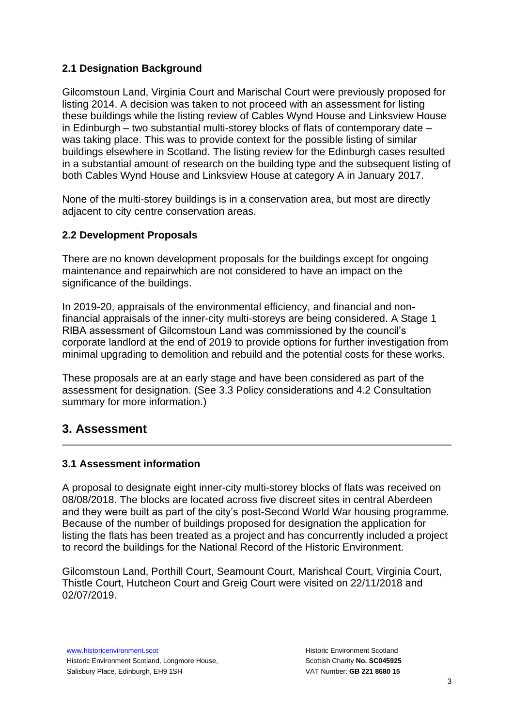## **2.1 Designation Background**

Gilcomstoun Land, Virginia Court and Marischal Court were previously proposed for listing 2014. A decision was taken to not proceed with an assessment for listing these buildings while the listing review of Cables Wynd House and Linksview House in Edinburgh – two substantial multi-storey blocks of flats of contemporary date – was taking place. This was to provide context for the possible listing of similar buildings elsewhere in Scotland. The listing review for the Edinburgh cases resulted in a substantial amount of research on the building type and the subsequent listing of both Cables Wynd House and Linksview House at category A in January 2017.

None of the multi-storey buildings is in a conservation area, but most are directly adjacent to city centre conservation areas.

## **2.2 Development Proposals**

There are no known development proposals for the buildings except for ongoing maintenance and repairwhich are not considered to have an impact on the significance of the buildings.

In 2019-20, appraisals of the environmental efficiency, and financial and nonfinancial appraisals of the inner-city multi-storeys are being considered. A Stage 1 RIBA assessment of Gilcomstoun Land was commissioned by the council's corporate landlord at the end of 2019 to provide options for further investigation from minimal upgrading to demolition and rebuild and the potential costs for these works.

These proposals are at an early stage and have been considered as part of the assessment for designation. (See 3.3 Policy considerations and 4.2 Consultation summary for more information.)

## **3. Assessment**

## **3.1 Assessment information**

A proposal to designate eight inner-city multi-storey blocks of flats was received on 08/08/2018. The blocks are located across five discreet sites in central Aberdeen and they were built as part of the city's post-Second World War housing programme. Because of the number of buildings proposed for designation the application for listing the flats has been treated as a project and has concurrently included a project to record the buildings for the National Record of the Historic Environment.

Gilcomstoun Land, Porthill Court, Seamount Court, Marishcal Court, Virginia Court, Thistle Court, Hutcheon Court and Greig Court were visited on 22/11/2018 and 02/07/2019.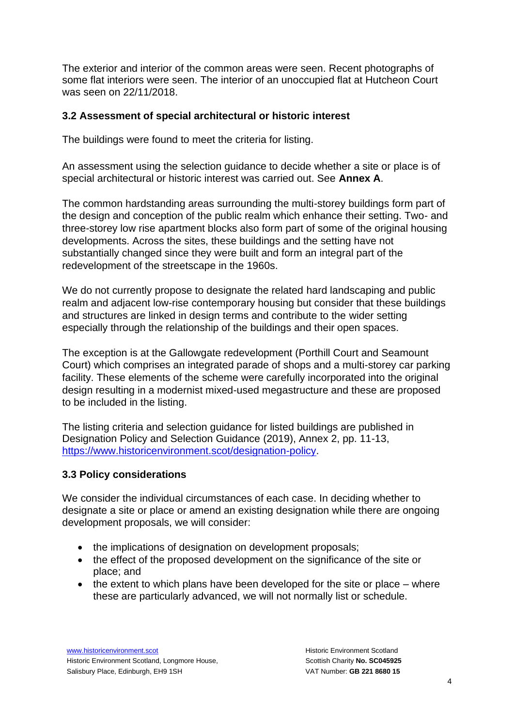The exterior and interior of the common areas were seen. Recent photographs of some flat interiors were seen. The interior of an unoccupied flat at Hutcheon Court was seen on 22/11/2018.

## **3.2 Assessment of special architectural or historic interest**

The buildings were found to meet the criteria for listing.

An assessment using the selection guidance to decide whether a site or place is of special architectural or historic interest was carried out. See **Annex A**.

The common hardstanding areas surrounding the multi-storey buildings form part of the design and conception of the public realm which enhance their setting. Two- and three-storey low rise apartment blocks also form part of some of the original housing developments. Across the sites, these buildings and the setting have not substantially changed since they were built and form an integral part of the redevelopment of the streetscape in the 1960s.

We do not currently propose to designate the related hard landscaping and public realm and adjacent low-rise contemporary housing but consider that these buildings and structures are linked in design terms and contribute to the wider setting especially through the relationship of the buildings and their open spaces.

The exception is at the Gallowgate redevelopment (Porthill Court and Seamount Court) which comprises an integrated parade of shops and a multi-storey car parking facility. These elements of the scheme were carefully incorporated into the original design resulting in a modernist mixed-used megastructure and these are proposed to be included in the listing.

The listing criteria and selection guidance for listed buildings are published in Designation Policy and Selection Guidance (2019), Annex 2, pp. 11-13, [https://www.historicenvironment.scot/designation-policy.](https://www.historicenvironment.scot/designation-policy)

## **3.3 Policy considerations**

We consider the individual circumstances of each case. In deciding whether to designate a site or place or amend an existing designation while there are ongoing development proposals, we will consider:

- the implications of designation on development proposals;
- the effect of the proposed development on the significance of the site or place; and
- $\bullet$  the extent to which plans have been developed for the site or place where these are particularly advanced, we will not normally list or schedule.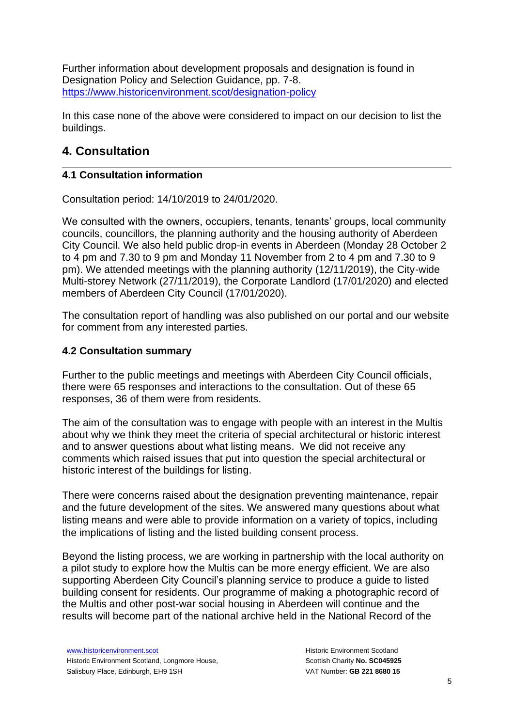Further information about development proposals and designation is found in Designation Policy and Selection Guidance, pp. 7-8. <https://www.historicenvironment.scot/designation-policy>

In this case none of the above were considered to impact on our decision to list the buildings.

## **4. Consultation**

## **4.1 Consultation information**

Consultation period: 14/10/2019 to 24/01/2020.

We consulted with the owners, occupiers, tenants, tenants' groups, local community councils, councillors, the planning authority and the housing authority of Aberdeen City Council. We also held public drop-in events in Aberdeen (Monday 28 October 2 to 4 pm and 7.30 to 9 pm and Monday 11 November from 2 to 4 pm and 7.30 to 9 pm). We attended meetings with the planning authority (12/11/2019), the City-wide Multi-storey Network (27/11/2019), the Corporate Landlord (17/01/2020) and elected members of Aberdeen City Council (17/01/2020).

The consultation report of handling was also published on our portal and our website for comment from any interested parties.

## **4.2 Consultation summary**

Further to the public meetings and meetings with Aberdeen City Council officials, there were 65 responses and interactions to the consultation. Out of these 65 responses, 36 of them were from residents.

The aim of the consultation was to engage with people with an interest in the Multis about why we think they meet the criteria of special architectural or historic interest and to answer questions about what listing means. We did not receive any comments which raised issues that put into question the special architectural or historic interest of the buildings for listing.

There were concerns raised about the designation preventing maintenance, repair and the future development of the sites. We answered many questions about what listing means and were able to provide information on a variety of topics, including the implications of listing and the listed building consent process.

Beyond the listing process, we are working in partnership with the local authority on a pilot study to explore how the Multis can be more energy efficient. We are also supporting Aberdeen City Council's planning service to produce a guide to listed building consent for residents. Our programme of making a photographic record of the Multis and other post-war social housing in Aberdeen will continue and the results will become part of the national archive held in the National Record of the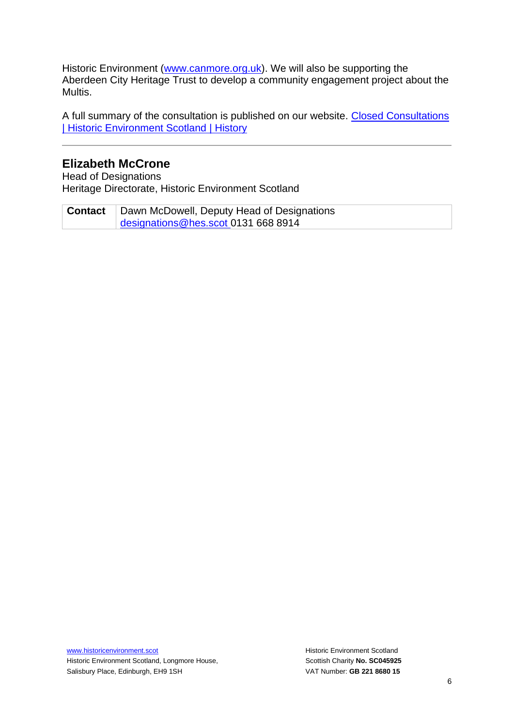Historic Environment [\(www.canmore.org.uk\)](http://www.canmore.org.uk/). We will also be supporting the Aberdeen City Heritage Trust to develop a community engagement project about the Multis.

A full summary of the consultation is published on our website. [Closed Consultations](https://www.historicenvironment.scot/about-us/what-we-do/consultations/recently-closed-consultations/#listing-of-aberdeen-multi-storey-flats_tab)  [| Historic Environment Scotland | History](https://www.historicenvironment.scot/about-us/what-we-do/consultations/recently-closed-consultations/#listing-of-aberdeen-multi-storey-flats_tab)

### **Elizabeth McCrone**

Head of Designations Heritage Directorate, Historic Environment Scotland

**Contact** Dawn McDowell, Deputy Head of Designations [designations@hes.scot](mailto:designations@hes.scot) 0131 668 8914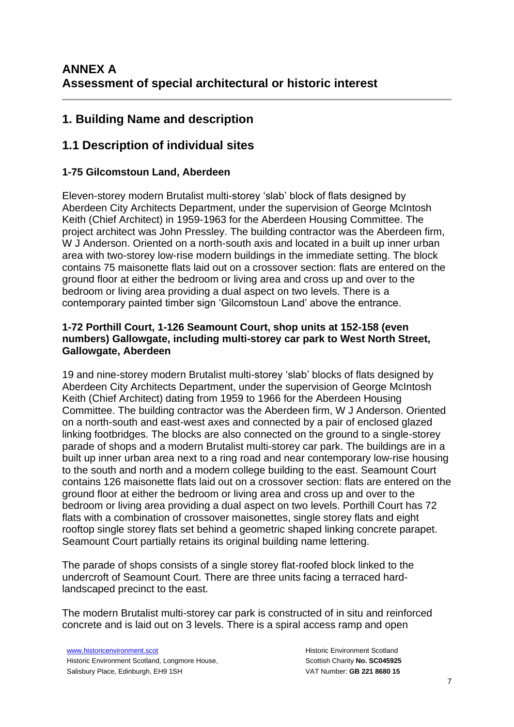## **1. Building Name and description**

## **1.1 Description of individual sites**

### **1-75 Gilcomstoun Land, Aberdeen**

Eleven-storey modern Brutalist multi-storey 'slab' block of flats designed by Aberdeen City Architects Department, under the supervision of George McIntosh Keith (Chief Architect) in 1959-1963 for the Aberdeen Housing Committee. The project architect was John Pressley. The building contractor was the Aberdeen firm, W J Anderson. Oriented on a north-south axis and located in a built up inner urban area with two-storey low-rise modern buildings in the immediate setting. The block contains 75 maisonette flats laid out on a crossover section: flats are entered on the ground floor at either the bedroom or living area and cross up and over to the bedroom or living area providing a dual aspect on two levels. There is a contemporary painted timber sign 'Gilcomstoun Land' above the entrance.

#### **1-72 Porthill Court, 1-126 Seamount Court, shop units at 152-158 (even numbers) Gallowgate, including multi-storey car park to West North Street, Gallowgate, Aberdeen**

19 and nine-storey modern Brutalist multi-storey 'slab' blocks of flats designed by Aberdeen City Architects Department, under the supervision of George McIntosh Keith (Chief Architect) dating from 1959 to 1966 for the Aberdeen Housing Committee. The building contractor was the Aberdeen firm, W J Anderson. Oriented on a north-south and east-west axes and connected by a pair of enclosed glazed linking footbridges. The blocks are also connected on the ground to a single-storey parade of shops and a modern Brutalist multi-storey car park. The buildings are in a built up inner urban area next to a ring road and near contemporary low-rise housing to the south and north and a modern college building to the east. Seamount Court contains 126 maisonette flats laid out on a crossover section: flats are entered on the ground floor at either the bedroom or living area and cross up and over to the bedroom or living area providing a dual aspect on two levels. Porthill Court has 72 flats with a combination of crossover maisonettes, single storey flats and eight rooftop single storey flats set behind a geometric shaped linking concrete parapet. Seamount Court partially retains its original building name lettering.

The parade of shops consists of a single storey flat-roofed block linked to the undercroft of Seamount Court. There are three units facing a terraced hardlandscaped precinct to the east.

The modern Brutalist multi-storey car park is constructed of in situ and reinforced concrete and is laid out on 3 levels. There is a spiral access ramp and open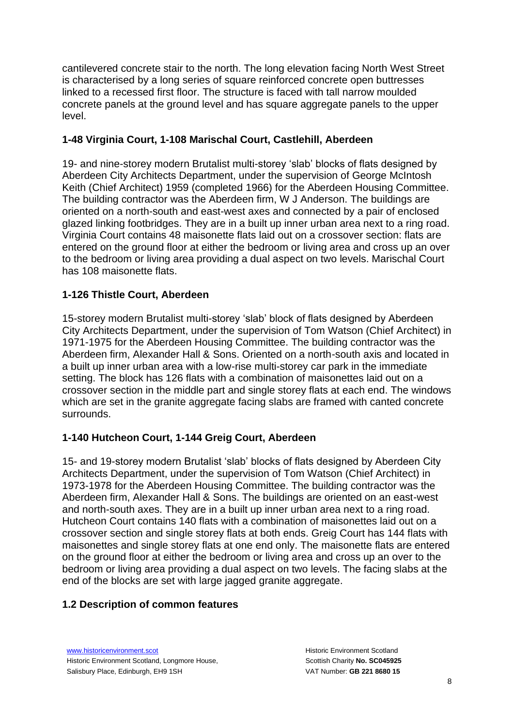cantilevered concrete stair to the north. The long elevation facing North West Street is characterised by a long series of square reinforced concrete open buttresses linked to a recessed first floor. The structure is faced with tall narrow moulded concrete panels at the ground level and has square aggregate panels to the upper level.

## **1-48 Virginia Court, 1-108 Marischal Court, Castlehill, Aberdeen**

19- and nine-storey modern Brutalist multi-storey 'slab' blocks of flats designed by Aberdeen City Architects Department, under the supervision of George McIntosh Keith (Chief Architect) 1959 (completed 1966) for the Aberdeen Housing Committee. The building contractor was the Aberdeen firm, W J Anderson. The buildings are oriented on a north-south and east-west axes and connected by a pair of enclosed glazed linking footbridges. They are in a built up inner urban area next to a ring road. Virginia Court contains 48 maisonette flats laid out on a crossover section: flats are entered on the ground floor at either the bedroom or living area and cross up an over to the bedroom or living area providing a dual aspect on two levels. Marischal Court has 108 maisonette flats.

## **1-126 Thistle Court, Aberdeen**

15-storey modern Brutalist multi-storey 'slab' block of flats designed by Aberdeen City Architects Department, under the supervision of Tom Watson (Chief Architect) in 1971-1975 for the Aberdeen Housing Committee. The building contractor was the Aberdeen firm, Alexander Hall & Sons. Oriented on a north-south axis and located in a built up inner urban area with a low-rise multi-storey car park in the immediate setting. The block has 126 flats with a combination of maisonettes laid out on a crossover section in the middle part and single storey flats at each end. The windows which are set in the granite aggregate facing slabs are framed with canted concrete surrounds.

## **1-140 Hutcheon Court, 1-144 Greig Court, Aberdeen**

15- and 19-storey modern Brutalist 'slab' blocks of flats designed by Aberdeen City Architects Department, under the supervision of Tom Watson (Chief Architect) in 1973-1978 for the Aberdeen Housing Committee. The building contractor was the Aberdeen firm, Alexander Hall & Sons. The buildings are oriented on an east-west and north-south axes. They are in a built up inner urban area next to a ring road. Hutcheon Court contains 140 flats with a combination of maisonettes laid out on a crossover section and single storey flats at both ends. Greig Court has 144 flats with maisonettes and single storey flats at one end only. The maisonette flats are entered on the ground floor at either the bedroom or living area and cross up an over to the bedroom or living area providing a dual aspect on two levels. The facing slabs at the end of the blocks are set with large jagged granite aggregate.

## **1.2 Description of common features**

[www.historicenvironment.scot](http://www.historicenvironment.scot/) Historic Environment Scotland, Longmore House, Salisbury Place, Edinburgh, EH9 1SH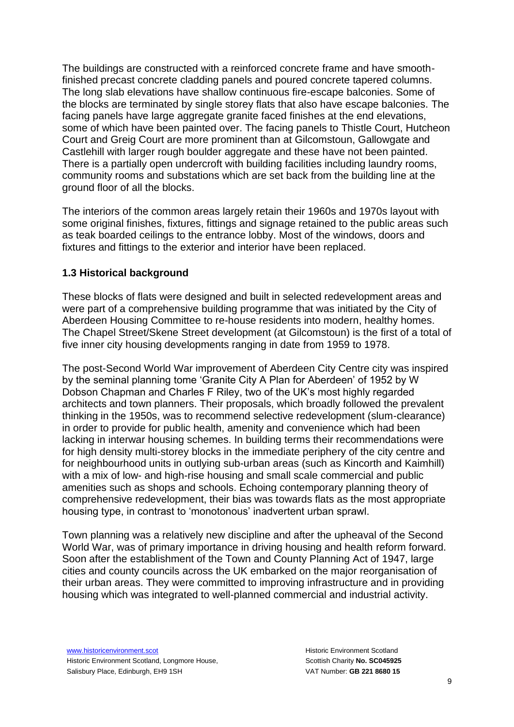The buildings are constructed with a reinforced concrete frame and have smoothfinished precast concrete cladding panels and poured concrete tapered columns. The long slab elevations have shallow continuous fire-escape balconies. Some of the blocks are terminated by single storey flats that also have escape balconies. The facing panels have large aggregate granite faced finishes at the end elevations, some of which have been painted over. The facing panels to Thistle Court, Hutcheon Court and Greig Court are more prominent than at Gilcomstoun, Gallowgate and Castlehill with larger rough boulder aggregate and these have not been painted. There is a partially open undercroft with building facilities including laundry rooms, community rooms and substations which are set back from the building line at the ground floor of all the blocks.

The interiors of the common areas largely retain their 1960s and 1970s layout with some original finishes, fixtures, fittings and signage retained to the public areas such as teak boarded ceilings to the entrance lobby. Most of the windows, doors and fixtures and fittings to the exterior and interior have been replaced.

#### **1.3 Historical background**

These blocks of flats were designed and built in selected redevelopment areas and were part of a comprehensive building programme that was initiated by the City of Aberdeen Housing Committee to re-house residents into modern, healthy homes. The Chapel Street/Skene Street development (at Gilcomstoun) is the first of a total of five inner city housing developments ranging in date from 1959 to 1978.

The post-Second World War improvement of Aberdeen City Centre city was inspired by the seminal planning tome 'Granite City A Plan for Aberdeen' of 1952 by W Dobson Chapman and Charles F Riley, two of the UK's most highly regarded architects and town planners. Their proposals, which broadly followed the prevalent thinking in the 1950s, was to recommend selective redevelopment (slum-clearance) in order to provide for public health, amenity and convenience which had been lacking in interwar housing schemes. In building terms their recommendations were for high density multi-storey blocks in the immediate periphery of the city centre and for neighbourhood units in outlying sub-urban areas (such as Kincorth and Kaimhill) with a mix of low- and high-rise housing and small scale commercial and public amenities such as shops and schools. Echoing contemporary planning theory of comprehensive redevelopment, their bias was towards flats as the most appropriate housing type, in contrast to 'monotonous' inadvertent urban sprawl.

Town planning was a relatively new discipline and after the upheaval of the Second World War, was of primary importance in driving housing and health reform forward. Soon after the establishment of the Town and County Planning Act of 1947, large cities and county councils across the UK embarked on the major reorganisation of their urban areas. They were committed to improving infrastructure and in providing housing which was integrated to well-planned commercial and industrial activity.

[www.historicenvironment.scot](http://www.historicenvironment.scot/) Historic Environment Scotland, Longmore House, Salisbury Place, Edinburgh, EH9 1SH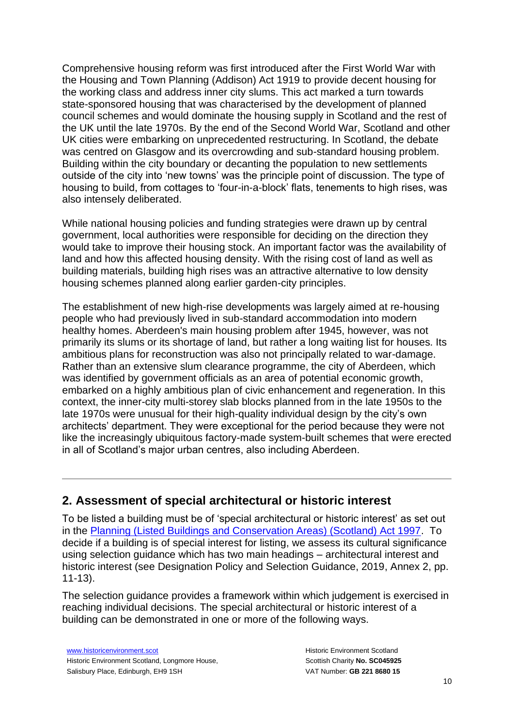Comprehensive housing reform was first introduced after the First World War with the Housing and Town Planning (Addison) Act 1919 to provide decent housing for the working class and address inner city slums. This act marked a turn towards state-sponsored housing that was characterised by the development of planned council schemes and would dominate the housing supply in Scotland and the rest of the UK until the late 1970s. By the end of the Second World War, Scotland and other UK cities were embarking on unprecedented restructuring. In Scotland, the debate was centred on Glasgow and its overcrowding and sub-standard housing problem. Building within the city boundary or decanting the population to new settlements outside of the city into 'new towns' was the principle point of discussion. The type of housing to build, from cottages to 'four-in-a-block' flats, tenements to high rises, was also intensely deliberated.

While national housing policies and funding strategies were drawn up by central government, local authorities were responsible for deciding on the direction they would take to improve their housing stock. An important factor was the availability of land and how this affected housing density. With the rising cost of land as well as building materials, building high rises was an attractive alternative to low density housing schemes planned along earlier garden-city principles.

The establishment of new high-rise developments was largely aimed at re-housing people who had previously lived in sub-standard accommodation into modern healthy homes. Aberdeen's main housing problem after 1945, however, was not primarily its slums or its shortage of land, but rather a long waiting list for houses. Its ambitious plans for reconstruction was also not principally related to war-damage. Rather than an extensive slum clearance programme, the city of Aberdeen, which was identified by government officials as an area of potential economic growth, embarked on a highly ambitious plan of civic enhancement and regeneration. In this context, the inner-city multi-storey slab blocks planned from in the late 1950s to the late 1970s were unusual for their high-quality individual design by the city's own architects' department. They were exceptional for the period because they were not like the increasingly ubiquitous factory-made system-built schemes that were erected in all of Scotland's major urban centres, also including Aberdeen.

## **2. Assessment of special architectural or historic interest**

To be listed a building must be of 'special architectural or historic interest' as set out in the [Planning \(Listed Buildings and Conservation Areas\) \(Scotland\) Act 1997.](https://www.legislation.gov.uk/ukpga/1997/9/contents) To decide if a building is of special interest for listing, we assess its cultural significance using selection guidance which has two main headings – architectural interest and historic interest (see Designation Policy and Selection Guidance, 2019, Annex 2, pp. 11-13).

The selection guidance provides a framework within which judgement is exercised in reaching individual decisions. The special architectural or historic interest of a building can be demonstrated in one or more of the following ways.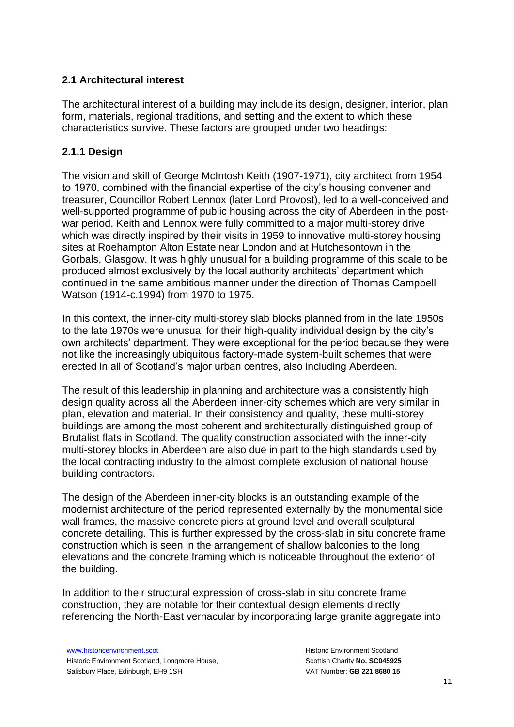### **2.1 Architectural interest**

The architectural interest of a building may include its design, designer, interior, plan form, materials, regional traditions, and setting and the extent to which these characteristics survive. These factors are grouped under two headings:

## **2.1.1 Design**

The vision and skill of George McIntosh Keith (1907-1971), city architect from 1954 to 1970, combined with the financial expertise of the city's housing convener and treasurer, Councillor Robert Lennox (later Lord Provost), led to a well-conceived and well-supported programme of public housing across the city of Aberdeen in the postwar period. Keith and Lennox were fully committed to a major multi-storey drive which was directly inspired by their visits in 1959 to innovative multi-storey housing sites at Roehampton Alton Estate near London and at Hutchesontown in the Gorbals, Glasgow. It was highly unusual for a building programme of this scale to be produced almost exclusively by the local authority architects' department which continued in the same ambitious manner under the direction of Thomas Campbell Watson (1914-c.1994) from 1970 to 1975.

In this context, the inner-city multi-storey slab blocks planned from in the late 1950s to the late 1970s were unusual for their high-quality individual design by the city's own architects' department. They were exceptional for the period because they were not like the increasingly ubiquitous factory-made system-built schemes that were erected in all of Scotland's major urban centres, also including Aberdeen.

The result of this leadership in planning and architecture was a consistently high design quality across all the Aberdeen inner-city schemes which are very similar in plan, elevation and material. In their consistency and quality, these multi-storey buildings are among the most coherent and architecturally distinguished group of Brutalist flats in Scotland. The quality construction associated with the inner-city multi-storey blocks in Aberdeen are also due in part to the high standards used by the local contracting industry to the almost complete exclusion of national house building contractors.

The design of the Aberdeen inner-city blocks is an outstanding example of the modernist architecture of the period represented externally by the monumental side wall frames, the massive concrete piers at ground level and overall sculptural concrete detailing. This is further expressed by the cross-slab in situ concrete frame construction which is seen in the arrangement of shallow balconies to the long elevations and the concrete framing which is noticeable throughout the exterior of the building.

In addition to their structural expression of cross-slab in situ concrete frame construction, they are notable for their contextual design elements directly referencing the North-East vernacular by incorporating large granite aggregate into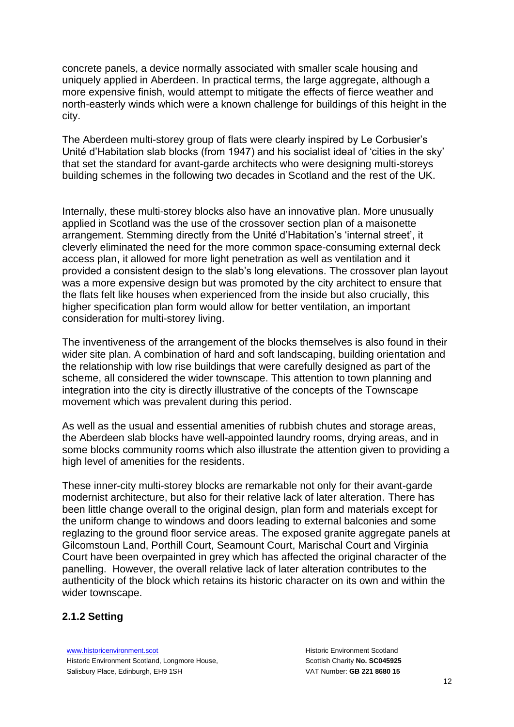concrete panels, a device normally associated with smaller scale housing and uniquely applied in Aberdeen. In practical terms, the large aggregate, although a more expensive finish, would attempt to mitigate the effects of fierce weather and north-easterly winds which were a known challenge for buildings of this height in the city.

The Aberdeen multi-storey group of flats were clearly inspired by Le Corbusier's Unité d'Habitation slab blocks (from 1947) and his socialist ideal of 'cities in the sky' that set the standard for avant-garde architects who were designing multi-storeys building schemes in the following two decades in Scotland and the rest of the UK.

Internally, these multi-storey blocks also have an innovative plan. More unusually applied in Scotland was the use of the crossover section plan of a maisonette arrangement. Stemming directly from the Unité d'Habitation's 'internal street', it cleverly eliminated the need for the more common space-consuming external deck access plan, it allowed for more light penetration as well as ventilation and it provided a consistent design to the slab's long elevations. The crossover plan layout was a more expensive design but was promoted by the city architect to ensure that the flats felt like houses when experienced from the inside but also crucially, this higher specification plan form would allow for better ventilation, an important consideration for multi-storey living.

The inventiveness of the arrangement of the blocks themselves is also found in their wider site plan. A combination of hard and soft landscaping, building orientation and the relationship with low rise buildings that were carefully designed as part of the scheme, all considered the wider townscape. This attention to town planning and integration into the city is directly illustrative of the concepts of the Townscape movement which was prevalent during this period.

As well as the usual and essential amenities of rubbish chutes and storage areas, the Aberdeen slab blocks have well-appointed laundry rooms, drying areas, and in some blocks community rooms which also illustrate the attention given to providing a high level of amenities for the residents.

These inner-city multi-storey blocks are remarkable not only for their avant-garde modernist architecture, but also for their relative lack of later alteration. There has been little change overall to the original design, plan form and materials except for the uniform change to windows and doors leading to external balconies and some reglazing to the ground floor service areas. The exposed granite aggregate panels at Gilcomstoun Land, Porthill Court, Seamount Court, Marischal Court and Virginia Court have been overpainted in grey which has affected the original character of the panelling. However, the overall relative lack of later alteration contributes to the authenticity of the block which retains its historic character on its own and within the wider townscape.

#### **2.1.2 Setting**

[www.historicenvironment.scot](http://www.historicenvironment.scot/) Historic Environment Scotland, Longmore House, Salisbury Place, Edinburgh, EH9 1SH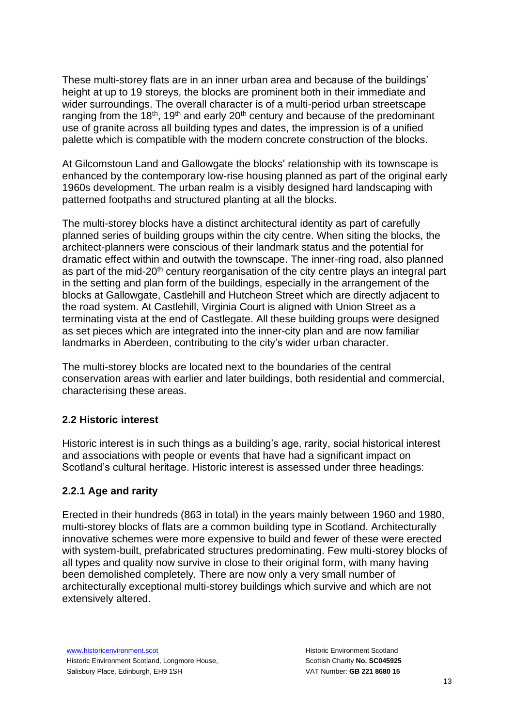These multi-storey flats are in an inner urban area and because of the buildings' height at up to 19 storeys, the blocks are prominent both in their immediate and wider surroundings. The overall character is of a multi-period urban streetscape ranging from the 18<sup>th</sup>, 19<sup>th</sup> and early 20<sup>th</sup> century and because of the predominant use of granite across all building types and dates, the impression is of a unified palette which is compatible with the modern concrete construction of the blocks.

At Gilcomstoun Land and Gallowgate the blocks' relationship with its townscape is enhanced by the contemporary low-rise housing planned as part of the original early 1960s development. The urban realm is a visibly designed hard landscaping with patterned footpaths and structured planting at all the blocks.

The multi-storey blocks have a distinct architectural identity as part of carefully planned series of building groups within the city centre. When siting the blocks, the architect-planners were conscious of their landmark status and the potential for dramatic effect within and outwith the townscape. The inner-ring road, also planned as part of the mid-20<sup>th</sup> century reorganisation of the city centre plays an integral part in the setting and plan form of the buildings, especially in the arrangement of the blocks at Gallowgate, Castlehill and Hutcheon Street which are directly adjacent to the road system. At Castlehill, Virginia Court is aligned with Union Street as a terminating vista at the end of Castlegate. All these building groups were designed as set pieces which are integrated into the inner-city plan and are now familiar landmarks in Aberdeen, contributing to the city's wider urban character.

The multi-storey blocks are located next to the boundaries of the central conservation areas with earlier and later buildings, both residential and commercial, characterising these areas.

#### **2.2 Historic interest**

Historic interest is in such things as a building's age, rarity, social historical interest and associations with people or events that have had a significant impact on Scotland's cultural heritage. Historic interest is assessed under three headings:

#### **2.2.1 Age and rarity**

Erected in their hundreds (863 in total) in the years mainly between 1960 and 1980, multi-storey blocks of flats are a common building type in Scotland. Architecturally innovative schemes were more expensive to build and fewer of these were erected with system-built, prefabricated structures predominating. Few multi-storey blocks of all types and quality now survive in close to their original form, with many having been demolished completely. There are now only a very small number of architecturally exceptional multi-storey buildings which survive and which are not extensively altered.

[www.historicenvironment.scot](http://www.historicenvironment.scot/) Historic Environment Scotland, Longmore House, Salisbury Place, Edinburgh, EH9 1SH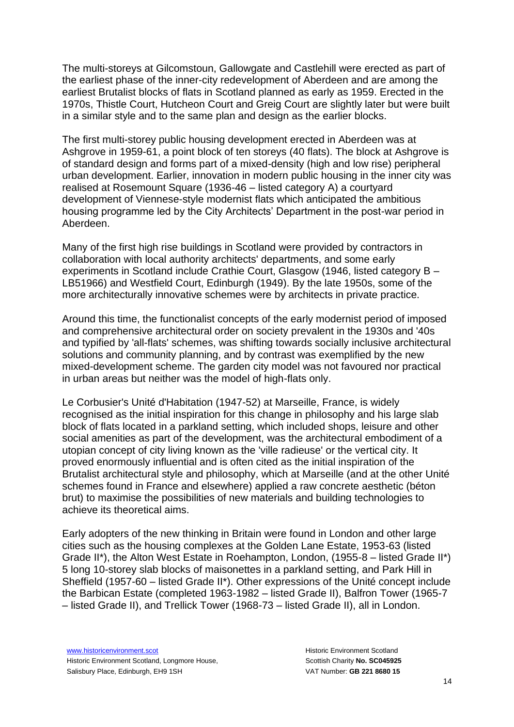The multi-storeys at Gilcomstoun, Gallowgate and Castlehill were erected as part of the earliest phase of the inner-city redevelopment of Aberdeen and are among the earliest Brutalist blocks of flats in Scotland planned as early as 1959. Erected in the 1970s, Thistle Court, Hutcheon Court and Greig Court are slightly later but were built in a similar style and to the same plan and design as the earlier blocks.

The first multi-storey public housing development erected in Aberdeen was at Ashgrove in 1959-61, a point block of ten storeys (40 flats). The block at Ashgrove is of standard design and forms part of a mixed-density (high and low rise) peripheral urban development. Earlier, innovation in modern public housing in the inner city was realised at Rosemount Square (1936-46 – listed category A) a courtyard development of Viennese-style modernist flats which anticipated the ambitious housing programme led by the City Architects' Department in the post-war period in Aberdeen.

Many of the first high rise buildings in Scotland were provided by contractors in collaboration with local authority architects' departments, and some early experiments in Scotland include Crathie Court, Glasgow (1946, listed category B – LB51966) and Westfield Court, Edinburgh (1949). By the late 1950s, some of the more architecturally innovative schemes were by architects in private practice.

Around this time, the functionalist concepts of the early modernist period of imposed and comprehensive architectural order on society prevalent in the 1930s and '40s and typified by 'all-flats' schemes, was shifting towards socially inclusive architectural solutions and community planning, and by contrast was exemplified by the new mixed-development scheme. The garden city model was not favoured nor practical in urban areas but neither was the model of high-flats only.

Le Corbusier's Unité d'Habitation (1947-52) at Marseille, France, is widely recognised as the initial inspiration for this change in philosophy and his large slab block of flats located in a parkland setting, which included shops, leisure and other social amenities as part of the development, was the architectural embodiment of a utopian concept of city living known as the 'ville radieuse' or the vertical city. It proved enormously influential and is often cited as the initial inspiration of the Brutalist architectural style and philosophy, which at Marseille (and at the other Unité schemes found in France and elsewhere) applied a raw concrete aesthetic (béton brut) to maximise the possibilities of new materials and building technologies to achieve its theoretical aims.

Early adopters of the new thinking in Britain were found in London and other large cities such as the housing complexes at the Golden Lane Estate, 1953-63 (listed Grade II\*), the Alton West Estate in Roehampton, London, (1955-8 – listed Grade II\*) 5 long 10-storey slab blocks of maisonettes in a parkland setting, and Park Hill in Sheffield (1957-60 – listed Grade II\*). Other expressions of the Unité concept include the Barbican Estate (completed 1963-1982 – listed Grade II), Balfron Tower (1965-7 – listed Grade II), and Trellick Tower (1968-73 – listed Grade II), all in London.

[www.historicenvironment.scot](http://www.historicenvironment.scot/) Historic Environment Scotland, Longmore House, Salisbury Place, Edinburgh, EH9 1SH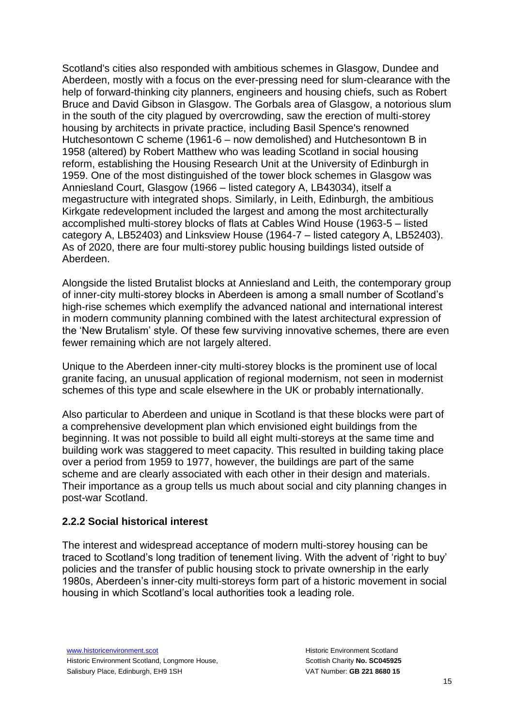Scotland's cities also responded with ambitious schemes in Glasgow, Dundee and Aberdeen, mostly with a focus on the ever-pressing need for slum-clearance with the help of forward-thinking city planners, engineers and housing chiefs, such as Robert Bruce and David Gibson in Glasgow. The Gorbals area of Glasgow, a notorious slum in the south of the city plagued by overcrowding, saw the erection of multi-storey housing by architects in private practice, including Basil Spence's renowned Hutchesontown C scheme (1961-6 – now demolished) and Hutchesontown B in 1958 (altered) by Robert Matthew who was leading Scotland in social housing reform, establishing the Housing Research Unit at the University of Edinburgh in 1959. One of the most distinguished of the tower block schemes in Glasgow was Anniesland Court, Glasgow (1966 – listed category A, LB43034), itself a megastructure with integrated shops. Similarly, in Leith, Edinburgh, the ambitious Kirkgate redevelopment included the largest and among the most architecturally accomplished multi-storey blocks of flats at Cables Wind House (1963-5 – listed category A, LB52403) and Linksview House (1964-7 – listed category A, LB52403). As of 2020, there are four multi-storey public housing buildings listed outside of Aberdeen.

Alongside the listed Brutalist blocks at Anniesland and Leith, the contemporary group of inner-city multi-storey blocks in Aberdeen is among a small number of Scotland's high-rise schemes which exemplify the advanced national and international interest in modern community planning combined with the latest architectural expression of the 'New Brutalism' style. Of these few surviving innovative schemes, there are even fewer remaining which are not largely altered.

Unique to the Aberdeen inner-city multi-storey blocks is the prominent use of local granite facing, an unusual application of regional modernism, not seen in modernist schemes of this type and scale elsewhere in the UK or probably internationally.

Also particular to Aberdeen and unique in Scotland is that these blocks were part of a comprehensive development plan which envisioned eight buildings from the beginning. It was not possible to build all eight multi-storeys at the same time and building work was staggered to meet capacity. This resulted in building taking place over a period from 1959 to 1977, however, the buildings are part of the same scheme and are clearly associated with each other in their design and materials. Their importance as a group tells us much about social and city planning changes in post-war Scotland.

#### **2.2.2 Social historical interest**

The interest and widespread acceptance of modern multi-storey housing can be traced to Scotland's long tradition of tenement living. With the advent of 'right to buy' policies and the transfer of public housing stock to private ownership in the early 1980s, Aberdeen's inner-city multi-storeys form part of a historic movement in social housing in which Scotland's local authorities took a leading role.

[www.historicenvironment.scot](http://www.historicenvironment.scot/) Historic Environment Scotland, Longmore House, Salisbury Place, Edinburgh, EH9 1SH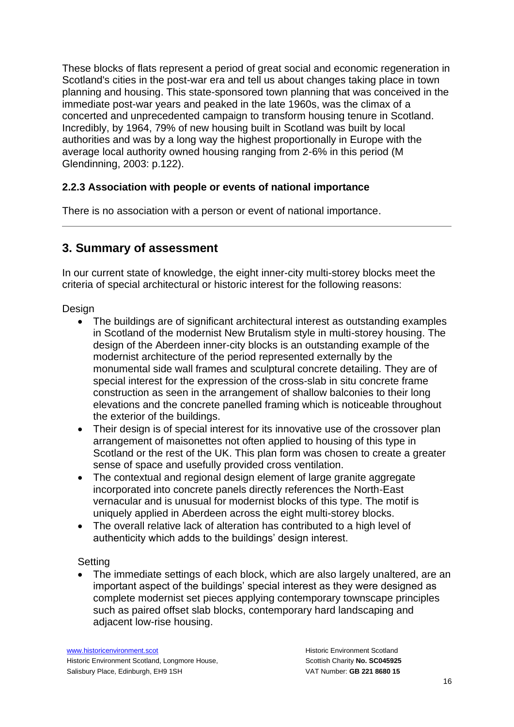These blocks of flats represent a period of great social and economic regeneration in Scotland's cities in the post-war era and tell us about changes taking place in town planning and housing. This state-sponsored town planning that was conceived in the immediate post-war years and peaked in the late 1960s, was the climax of a concerted and unprecedented campaign to transform housing tenure in Scotland. Incredibly, by 1964, 79% of new housing built in Scotland was built by local authorities and was by a long way the highest proportionally in Europe with the average local authority owned housing ranging from 2-6% in this period (M Glendinning, 2003: p.122).

### **2.2.3 Association with people or events of national importance**

There is no association with a person or event of national importance.

## **3. Summary of assessment**

In our current state of knowledge, the eight inner-city multi-storey blocks meet the criteria of special architectural or historic interest for the following reasons:

Design

- The buildings are of significant architectural interest as outstanding examples in Scotland of the modernist New Brutalism style in multi-storey housing. The design of the Aberdeen inner-city blocks is an outstanding example of the modernist architecture of the period represented externally by the monumental side wall frames and sculptural concrete detailing. They are of special interest for the expression of the cross-slab in situ concrete frame construction as seen in the arrangement of shallow balconies to their long elevations and the concrete panelled framing which is noticeable throughout the exterior of the buildings.
- Their design is of special interest for its innovative use of the crossover plan arrangement of maisonettes not often applied to housing of this type in Scotland or the rest of the UK. This plan form was chosen to create a greater sense of space and usefully provided cross ventilation.
- The contextual and regional design element of large granite aggregate incorporated into concrete panels directly references the North-East vernacular and is unusual for modernist blocks of this type. The motif is uniquely applied in Aberdeen across the eight multi-storey blocks.
- The overall relative lack of alteration has contributed to a high level of authenticity which adds to the buildings' design interest.

**Setting** 

• The immediate settings of each block, which are also largely unaltered, are an important aspect of the buildings' special interest as they were designed as complete modernist set pieces applying contemporary townscape principles such as paired offset slab blocks, contemporary hard landscaping and adjacent low-rise housing.

[www.historicenvironment.scot](http://www.historicenvironment.scot/) Historic Environment Scotland, Longmore House, Salisbury Place, Edinburgh, EH9 1SH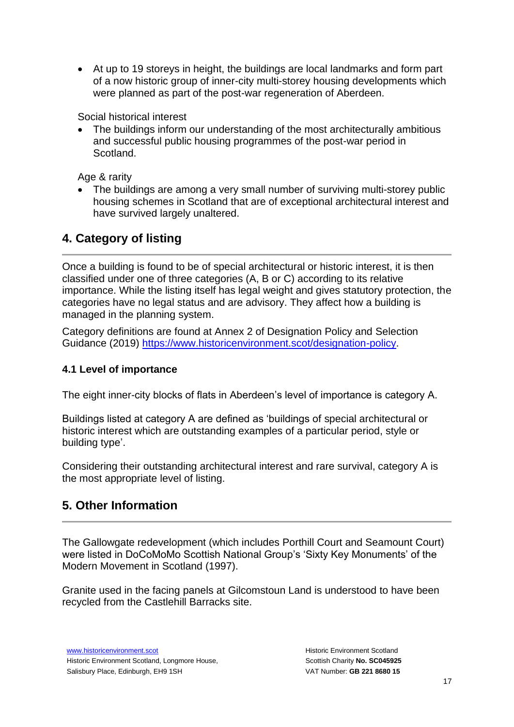• At up to 19 storeys in height, the buildings are local landmarks and form part of a now historic group of inner-city multi-storey housing developments which were planned as part of the post-war regeneration of Aberdeen.

Social historical interest

• The buildings inform our understanding of the most architecturally ambitious and successful public housing programmes of the post-war period in Scotland.

Age & rarity

• The buildings are among a very small number of surviving multi-storey public housing schemes in Scotland that are of exceptional architectural interest and have survived largely unaltered.

## **4. Category of listing**

Once a building is found to be of special architectural or historic interest, it is then classified under one of three categories (A, B or C) according to its relative importance. While the listing itself has legal weight and gives statutory protection, the categories have no legal status and are advisory. They affect how a building is managed in the planning system.

Category definitions are found at Annex 2 of Designation Policy and Selection Guidance (2019) [https://www.historicenvironment.scot/designation-policy.](https://www.historicenvironment.scot/designation-policy)

## **4.1 Level of importance**

The eight inner-city blocks of flats in Aberdeen's level of importance is category A.

Buildings listed at category A are defined as 'buildings of special architectural or historic interest which are outstanding examples of a particular period, style or building type'.

Considering their outstanding architectural interest and rare survival, category A is the most appropriate level of listing.

## **5. Other Information**

The Gallowgate redevelopment (which includes Porthill Court and Seamount Court) were listed in DoCoMoMo Scottish National Group's 'Sixty Key Monuments' of the Modern Movement in Scotland (1997).

Granite used in the facing panels at Gilcomstoun Land is understood to have been recycled from the Castlehill Barracks site.

[www.historicenvironment.scot](http://www.historicenvironment.scot/) Historic Environment Scotland, Longmore House, Salisbury Place, Edinburgh, EH9 1SH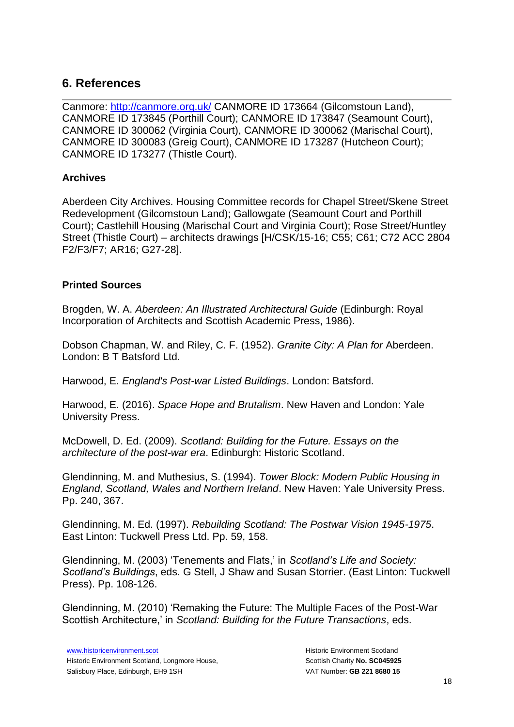## **6. References**

Canmore:<http://canmore.org.uk/> CANMORE ID 173664 (Gilcomstoun Land), CANMORE ID 173845 (Porthill Court); CANMORE ID 173847 (Seamount Court), CANMORE ID 300062 (Virginia Court), CANMORE ID 300062 (Marischal Court), CANMORE ID 300083 (Greig Court), CANMORE ID 173287 (Hutcheon Court); CANMORE ID 173277 (Thistle Court).

## **Archives**

Aberdeen City Archives. Housing Committee records for Chapel Street/Skene Street Redevelopment (Gilcomstoun Land); Gallowgate (Seamount Court and Porthill Court); Castlehill Housing (Marischal Court and Virginia Court); Rose Street/Huntley Street (Thistle Court) – architects drawings [H/CSK/15-16; C55; C61; C72 ACC 2804 F2/F3/F7; AR16; G27-28].

### **Printed Sources**

Brogden, W. A. *Aberdeen: An Illustrated Architectural Guide* (Edinburgh: Royal Incorporation of Architects and Scottish Academic Press, 1986).

Dobson Chapman, W. and Riley, C. F. (1952). *Granite City: A Plan for* Aberdeen. London: B T Batsford Ltd.

Harwood, E. *England's Post-war Listed Buildings*. London: Batsford.

Harwood, E. (2016). *Space Hope and Brutalism*. New Haven and London: Yale University Press.

McDowell, D. Ed. (2009). *Scotland: Building for the Future. Essays on the architecture of the post-war era*. Edinburgh: Historic Scotland.

Glendinning, M. and Muthesius, S. (1994). *Tower Block: Modern Public Housing in England, Scotland, Wales and Northern Ireland*. New Haven: Yale University Press. Pp. 240, 367.

Glendinning, M. Ed. (1997). *Rebuilding Scotland: The Postwar Vision 1945-1975*. East Linton: Tuckwell Press Ltd. Pp. 59, 158.

Glendinning, M. (2003) 'Tenements and Flats,' in *Scotland's Life and Society: Scotland's Buildings*, eds. G Stell, J Shaw and Susan Storrier. (East Linton: Tuckwell Press). Pp. 108-126.

Glendinning, M. (2010) 'Remaking the Future: The Multiple Faces of the Post-War Scottish Architecture,' in *Scotland: Building for the Future Transactions*, eds.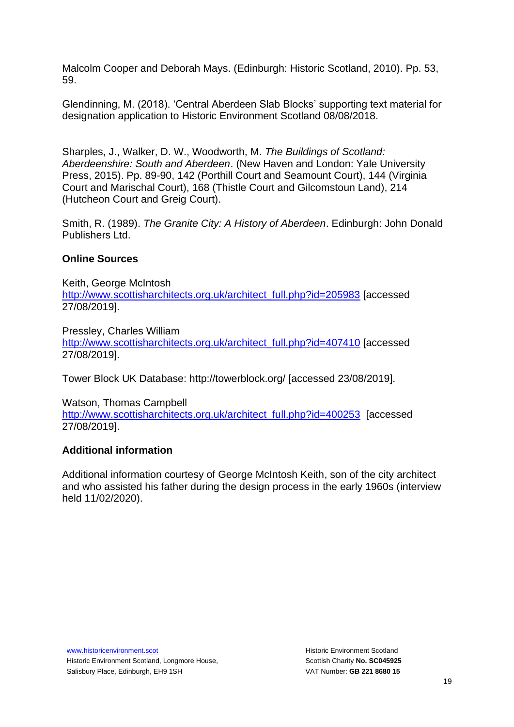Malcolm Cooper and Deborah Mays. (Edinburgh: Historic Scotland, 2010). Pp. 53, 59.

Glendinning, M. (2018). 'Central Aberdeen Slab Blocks' supporting text material for designation application to Historic Environment Scotland 08/08/2018.

Sharples, J., Walker, D. W., Woodworth, M. *The Buildings of Scotland: Aberdeenshire: South and Aberdeen*. (New Haven and London: Yale University Press, 2015). Pp. 89-90, 142 (Porthill Court and Seamount Court), 144 (Virginia Court and Marischal Court), 168 (Thistle Court and Gilcomstoun Land), 214 (Hutcheon Court and Greig Court).

Smith, R. (1989). *The Granite City: A History of Aberdeen*. Edinburgh: John Donald Publishers Ltd.

## **Online Sources**

Keith, George McIntosh [http://www.scottisharchitects.org.uk/architect\\_full.php?id=205983](http://www.scottisharchitects.org.uk/architect_full.php?id=205983) [accessed 27/08/2019].

Pressley, Charles William [http://www.scottisharchitects.org.uk/architect\\_full.php?id=407410](http://www.scottisharchitects.org.uk/architect_full.php?id=407410) [accessed 27/08/2019].

Tower Block UK Database: http://towerblock.org/ [accessed 23/08/2019].

Watson, Thomas Campbell [http://www.scottisharchitects.org.uk/architect\\_full.php?id=400253](http://www.scottisharchitects.org.uk/architect_full.php?id=400253) [accessed 27/08/2019].

#### **Additional information**

Additional information courtesy of George McIntosh Keith, son of the city architect and who assisted his father during the design process in the early 1960s (interview held 11/02/2020).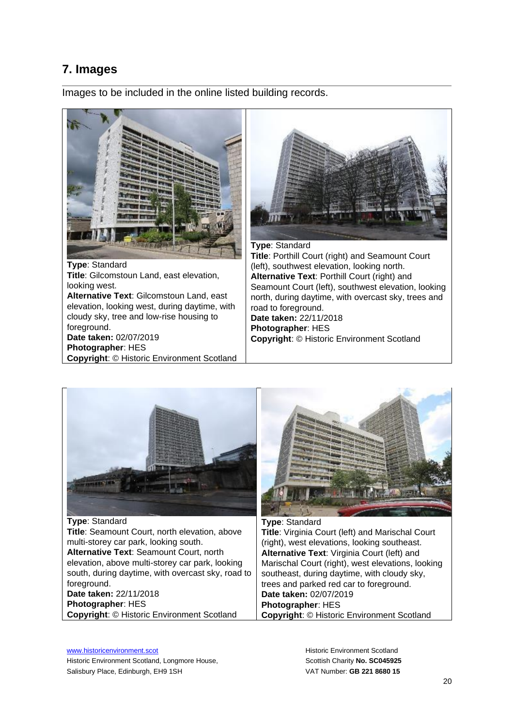## **7. Images**

Images to be included in the online listed building records.



**Type**: Standard **Title**: Gilcomstoun Land, east elevation, looking west. **Alternative Text**: Gilcomstoun Land, east elevation, looking west, during daytime, with cloudy sky, tree and low-rise housing to foreground. **Date taken:** 02/07/2019 **Photographer**: HES **Copyright**: © Historic Environment Scotland



**Type**: Standard **Title**: Porthill Court (right) and Seamount Court (left), southwest elevation, looking north. **Alternative Text**: Porthill Court (right) and Seamount Court (left), southwest elevation, looking north, during daytime, with overcast sky, trees and road to foreground. **Date taken:** 22/11/2018 **Photographer**: HES **Copyright**: © Historic Environment Scotland



**Type**: Standard **Title**: Seamount Court, north elevation, above multi-storey car park, looking south. **Alternative Text**: Seamount Court, north elevation, above multi-storey car park, looking south, during daytime, with overcast sky, road to foreground. **Date taken:** 22/11/2018 **Photographer**: HES **Copyright**: © Historic Environment Scotland



**Type**: Standard **Title**: Virginia Court (left) and Marischal Court (right), west elevations, looking southeast. **Alternative Text**: Virginia Court (left) and Marischal Court (right), west elevations, looking southeast, during daytime, with cloudy sky, trees and parked red car to foreground. **Date taken:** 02/07/2019 **Photographer**: HES **Copyright**: © Historic Environment Scotland

[www.historicenvironment.scot](http://www.historicenvironment.scot/) Historic Environment Scotland, Longmore House, Salisbury Place, Edinburgh, EH9 1SH